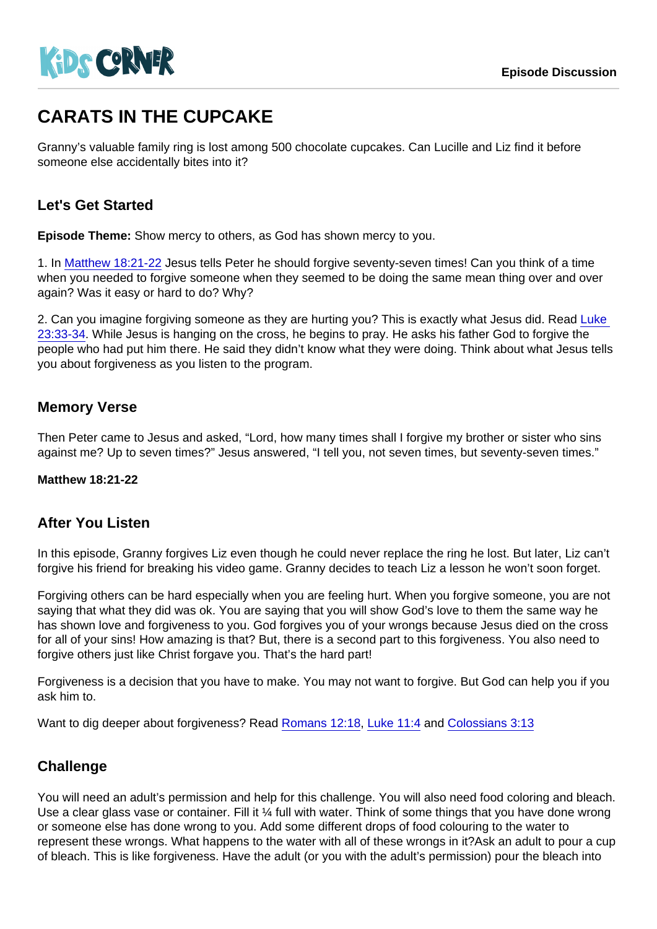# CARATS IN THE CUPCAKE

Granny's valuable family ring is lost among 500 chocolate cupcakes. Can Lucille and Liz find it before someone else accidentally bites into it?

## Let's Get Started

Episode Theme: Show mercy to others, as God has shown mercy to you.

1. In [Matthew 18:21-22](https://www.biblegateway.com/passage/?search=Matthew+18:21-22) Jesus tells Peter he should forgive seventy-seven times! Can you think of a time when you needed to forgive someone when they seemed to be doing the same mean thing over and over again? Was it easy or hard to do? Why?

2. Can you imagine forgiving someone as they are hurting you? This is exactly what Jesus did. Read [Luke](https://www.biblegateway.com/passage/?search=Luke+23:33-34)  [23:33-34](https://www.biblegateway.com/passage/?search=Luke+23:33-34). While Jesus is hanging on the cross, he begins to pray. He asks his father God to forgive the people who had put him there. He said they didn't know what they were doing. Think about what Jesus tells you about forgiveness as you listen to the program.

### Memory Verse

Then Peter came to Jesus and asked, "Lord, how many times shall I forgive my brother or sister who sins against me? Up to seven times?" Jesus answered, "I tell you, not seven times, but seventy-seven times."

Matthew 18:21-22

### After You Listen

In this episode, Granny forgives Liz even though he could never replace the ring he lost. But later, Liz can't forgive his friend for breaking his video game. Granny decides to teach Liz a lesson he won't soon forget.

Forgiving others can be hard especially when you are feeling hurt. When you forgive someone, you are not saying that what they did was ok. You are saying that you will show God's love to them the same way he has shown love and forgiveness to you. God forgives you of your wrongs because Jesus died on the cross for all of your sins! How amazing is that? But, there is a second part to this forgiveness. You also need to forgive others just like Christ forgave you. That's the hard part!

Forgiveness is a decision that you have to make. You may not want to forgive. But God can help you if you ask him to.

Want to dig deeper about forgiveness? Read [Romans 12:18,](https://www.biblegateway.com/passage/?search=Romans+12:18) [Luke 11:4](https://www.biblegateway.com/passage/?search=Luke+11:4) and [Colossians 3:13](https://www.biblegateway.com/passage/?search=Colossians+3:13)

### **Challenge**

You will need an adult's permission and help for this challenge. You will also need food coloring and bleach. Use a clear glass vase or container. Fill it ¼ full with water. Think of some things that you have done wrong or someone else has done wrong to you. Add some different drops of food colouring to the water to represent these wrongs. What happens to the water with all of these wrongs in it?Ask an adult to pour a cup of bleach. This is like forgiveness. Have the adult (or you with the adult's permission) pour the bleach into